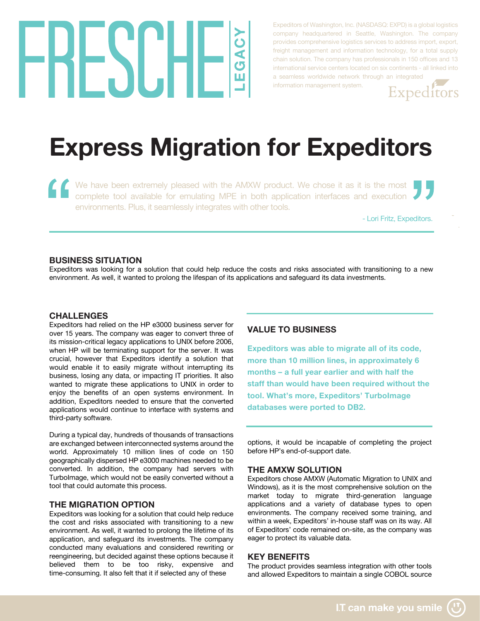# HESUHE  $\bar{\textbf{A}}$

Expeditors of Washington, Inc. (NASDASQ: EXPD) is a global logistics company headquartered in Seattle, Washington. The company provides comprehensive logistics services to address import, export, freight management and information technology, for a total supply chain solution. The company has professionals in 150 offices and 13 international service centers located on six continents - all linked into a seamless worldwide network through an integrated

information management system.



## **Express Migration for Expeditors**

We have been extremely pleased with the AMXW product. We chose it as it is the most complete tool available for emulating MPE in both application interfaces and execution environments. Plus, it seamlessly integrates with other tools.

- Lori Fritz, Expeditors.

#### **BUSINESS SITUATION**

Expeditors was looking for a solution that could help reduce the costs and risks associated with transitioning to a new environment. As well, it wanted to prolong the lifespan of its applications and safeguard its data investments.

#### **CHALLENGES**

Expeditors had relied on the HP e3000 business server for over 15 years. The company was eager to convert three of its mission-critical legacy applications to UNIX before 2006, when HP will be terminating support for the server. It was crucial, however that Expeditors identify a solution that would enable it to easily migrate without interrupting its business, losing any data, or impacting IT priorities. It also wanted to migrate these applications to UNIX in order to enjoy the benefits of an open systems environment. In addition, Expeditors needed to ensure that the converted applications would continue to interface with systems and third-party software.

During a typical day, hundreds of thousands of transactions are exchanged between interconnected systems around the world. Approximately 10 million lines of code on 150 geographically dispersed HP e3000 machines needed to be converted. In addition, the company had servers with TurboImage, which would not be easily converted without a tool that could automate this process.

#### **THE MIGRATION OPTION**

Expeditors was looking for a solution that could help reduce the cost and risks associated with transitioning to a new environment. As well, it wanted to prolong the lifetime of its application, and safeguard its investments. The company conducted many evaluations and considered rewriting or reengineering, but decided against these options because it believed them to be too risky, expensive and time-consuming. It also felt that it if selected any of these

#### **VALUE TO BUSINESS**

**Expeditors was able to migrate all of its code, more than 10 million lines, in approximately 6 months – a full year earlier and with half the staff than would have been required without the tool. What's more, Expeditors' TurboImage databases were ported to DB2.**

options, it would be incapable of completing the project before HP's end-of-support date.

#### **THE AMXW SOLUTION**

Expeditors chose AMXW (Automatic Migration to UNIX and Windows), as it is the most comprehensive solution on the market today to migrate third-generation language applications and a variety of database types to open environments. The company received some training, and within a week, Expeditors' in-house staff was on its way. All of Expeditors' code remained on-site, as the company was eager to protect its valuable data.

#### **KEY BENEFITS**

The product provides seamless integration with other tools and allowed Expeditors to maintain a single COBOL source